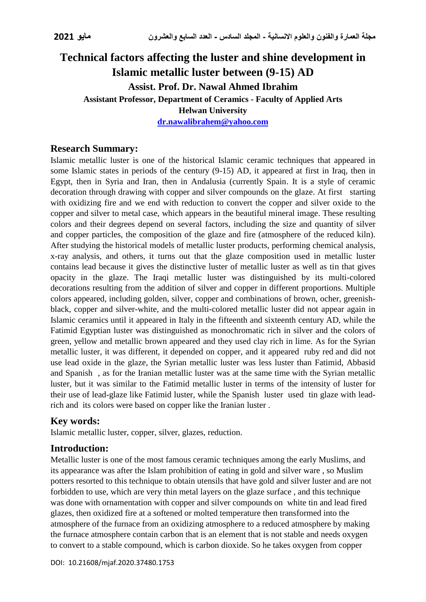# **Technical factors affecting the luster and shine development in Islamic metallic luster between (9-15) AD Assist. Prof. Dr. Nawal Ahmed Ibrahim Assistant Professor, Department of Ceramics - Faculty of Applied Arts Helwan University**

**[dr.nawalibrahem@yahoo.com](mailto:dr.nawalibrahem@yahoo.com)**

#### **Research Summary:**

Islamic metallic luster is one of the historical Islamic ceramic techniques that appeared in some Islamic states in periods of the century (9-15) AD, it appeared at first in Iraq, then in Egypt, then in Syria and Iran, then in Andalusia (currently Spain. It is a style of ceramic decoration through drawing with copper and silver compounds on the glaze. At first starting with oxidizing fire and we end with reduction to convert the copper and silver oxide to the copper and silver to metal case, which appears in the beautiful mineral image. These resulting colors and their degrees depend on several factors, including the size and quantity of silver and copper particles, the composition of the glaze and fire (atmosphere of the reduced kiln). After studying the historical models of metallic luster products, performing chemical analysis, x-ray analysis, and others, it turns out that the glaze composition used in metallic luster contains lead because it gives the distinctive luster of metallic luster as well as tin that gives opacity in the glaze. The Iraqi metallic luster was distinguished by its multi-colored decorations resulting from the addition of silver and copper in different proportions. Multiple colors appeared, including golden, silver, copper and combinations of brown, ocher, greenishblack, copper and silver-white, and the multi-colored metallic luster did not appear again in Islamic ceramics until it appeared in Italy in the fifteenth and sixteenth century AD, while the Fatimid Egyptian luster was distinguished as monochromatic rich in silver and the colors of green, yellow and metallic brown appeared and they used clay rich in lime. As for the Syrian metallic luster, it was different, it depended on copper, and it appeared ruby red and did not use lead oxide in the glaze, the Syrian metallic luster was less luster than Fatimid, Abbasid and Spanish , as for the Iranian metallic luster was at the same time with the Syrian metallic luster, but it was similar to the Fatimid metallic luster in terms of the intensity of luster for their use of lead-glaze like Fatimid luster, while the Spanish luster used tin glaze with leadrich and its colors were based on copper like the Iranian luster .

## **Key words:**

Islamic metallic luster, copper, silver, glazes, reduction.

#### **Introduction:**

Metallic luster is one of the most famous ceramic techniques among the early Muslims, and its appearance was after the Islam prohibition of eating in gold and silver ware , so Muslim potters resorted to this technique to obtain utensils that have gold and silver luster and are not forbidden to use, which are very thin metal layers on the glaze surface , and this technique was done with ornamentation with copper and silver compounds on white tin and lead fired glazes, then oxidized fire at a softened or molted temperature then transformed into the atmosphere of the furnace from an oxidizing atmosphere to a reduced atmosphere by making the furnace atmosphere contain carbon that is an element that is not stable and needs oxygen to convert to a stable compound, which is carbon dioxide. So he takes oxygen from copper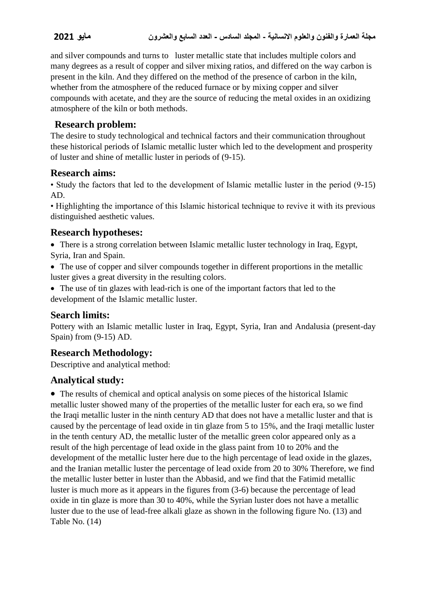and silver compounds and turns to luster metallic state that includes multiple colors and many degrees as a result of copper and silver mixing ratios, and differed on the way carbon is present in the kiln. And they differed on the method of the presence of carbon in the kiln, whether from the atmosphere of the reduced furnace or by mixing copper and silver compounds with acetate, and they are the source of reducing the metal oxides in an oxidizing atmosphere of the kiln or both methods.

#### **Research problem:**

The desire to study technological and technical factors and their communication throughout these historical periods of Islamic metallic luster which led to the development and prosperity of luster and shine of metallic luster in periods of (9-15).

#### **Research aims:**

• Study the factors that led to the development of Islamic metallic luster in the period (9-15) AD.

• Highlighting the importance of this Islamic historical technique to revive it with its previous distinguished aesthetic values.

#### **Research hypotheses:**

 There is a strong correlation between Islamic metallic luster technology in Iraq, Egypt, Syria, Iran and Spain.

• The use of copper and silver compounds together in different proportions in the metallic luster gives a great diversity in the resulting colors.

 The use of tin glazes with lead-rich is one of the important factors that led to the development of the Islamic metallic luster.

#### **Search limits:**

Pottery with an Islamic metallic luster in Iraq, Egypt, Syria, Iran and Andalusia (present-day Spain) from (9-15) AD.

#### **Research Methodology:**

Descriptive and analytical method:

## **Analytical study:**

 The results of chemical and optical analysis on some pieces of the historical Islamic metallic luster showed many of the properties of the metallic luster for each era, so we find the Iraqi metallic luster in the ninth century AD that does not have a metallic luster and that is caused by the percentage of lead oxide in tin glaze from 5 to 15%, and the Iraqi metallic luster in the tenth century AD, the metallic luster of the metallic green color appeared only as a result of the high percentage of lead oxide in the glass paint from 10 to 20% and the development of the metallic luster here due to the high percentage of lead oxide in the glazes, and the Iranian metallic luster the percentage of lead oxide from 20 to 30% Therefore, we find the metallic luster better in luster than the Abbasid, and we find that the Fatimid metallic luster is much more as it appears in the figures from (3-6) because the percentage of lead oxide in tin glaze is more than 30 to 40%, while the Syrian luster does not have a metallic luster due to the use of lead-free alkali glaze as shown in the following figure No. (13) and Table No. (14)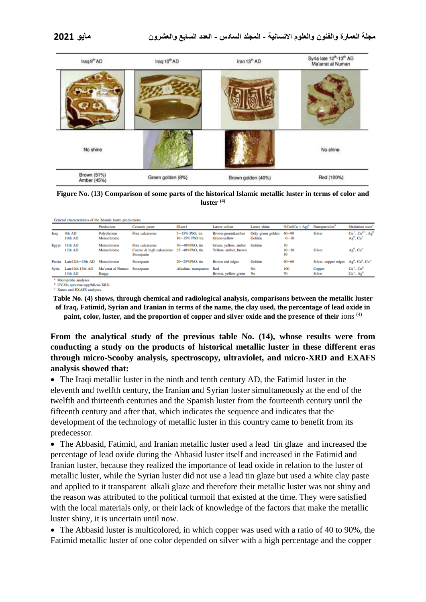| Iraq 9 <sup>m</sup> AD     | Iraq 10 <sup>th</sup> AD | Iran 13 <sup>th</sup> AD | Syria late 12 <sup>th</sup> -13 <sup>th</sup> AD<br>Ma'arrat al Numan |  |  |
|----------------------------|--------------------------|--------------------------|-----------------------------------------------------------------------|--|--|
|                            |                          |                          |                                                                       |  |  |
| No shine                   |                          |                          | No shine                                                              |  |  |
| Brown (51%)<br>Amber (45%) | Green golden (8%)        |                          | Red (100%)                                                            |  |  |

**Figure No. (13) Comparison of some parts of the historical Islamic metallic luster in terms of color and (4) luster**

| General characteristics of the Islamic lustre productions |                               |                            |                                                           |                                    |                                              |                             |                       |                                                                          |                                          |  |  |
|-----------------------------------------------------------|-------------------------------|----------------------------|-----------------------------------------------------------|------------------------------------|----------------------------------------------|-----------------------------|-----------------------|--------------------------------------------------------------------------|------------------------------------------|--|--|
|                                                           |                               | Production                 | Ceramic paste                                             | <b>Glaze1</b>                      | Lustre colour                                | Lustre shine                | $%$ Cu $/(Cu + Ag)^2$ | Nanoparticles <sup>®</sup>                                               | Oxidation state <sup>®</sup>             |  |  |
| Iraq                                                      | 9th AD<br>10th AD             | Polychrome<br>Monochrome   | Fine calcareous                                           | 5-15% PbO, tin<br>$10-15%$ PbO tin | Brown-green&amber<br>Green-yellow            | Only green golden<br>Golden | $40 - 90$<br>$0 - 10$ | Silver                                                                   | $Cu+, Cu2+, Ag0$<br>$Ag0$ , $Cu+$        |  |  |
| Egypt                                                     | 11th AD<br>$12th$ AD          | Monochrome<br>Monochrome   | Fine calcareous<br>Coarse & high calcareous<br>Stonepaste | 30-40%PbO, tin<br>25-40%PbO, tin   | Green, yellow, amber<br>Yellow, amber, brown | Golden                      | 10<br>$10 - 30$<br>10 | Silver                                                                   | $Ag^0$ , $Cu^+$                          |  |  |
| Persia                                                    | Late12th-13th AD              | Monochrome                 | Stonepaste                                                | 20-25%PbO, tin                     | Brown red edges                              | Golden                      | $40 - 60$             | Silver, copper edges Ag <sup>0</sup> , Cu <sup>p</sup> , Cu <sup>+</sup> |                                          |  |  |
| Syria                                                     | Late12th-13th AD<br>$13th$ AD | Ma'arrat al Numan<br>Raqqa | Stonepaste                                                | Alkaline, transparent Red          | Brown, yellow-green                          | No<br>No                    | 100<br>70             | Copper<br>Silver                                                         | $Cu+$ , $Cu0$<br>$Cu+$ , Ag <sup>o</sup> |  |  |

\* Microprobe analyses.<br><sup>b</sup> UV-Vis spectroscopy/Micro-XRD

<sup>e</sup> Xanes and EXAFS analyses

**Table No. (4) shows, through chemical and radiological analysis, comparisons between the metallic luster of Iraq, Fatimid, Syrian and Iranian in terms of the name, the clay used, the percentage of lead oxide in**  paint, color, luster, and the proportion of copper and silver oxide and the presence of their ions<sup>(4)</sup>

**From the analytical study of the previous table No. (14), whose results were from conducting a study on the products of historical metallic luster in these different eras through micro-Scooby analysis, spectroscopy, ultraviolet, and micro-XRD and EXAFS analysis showed that:** 

• The Iraqi metallic luster in the ninth and tenth century AD, the Fatimid luster in the eleventh and twelfth century, the Iranian and Syrian luster simultaneously at the end of the twelfth and thirteenth centuries and the Spanish luster from the fourteenth century until the fifteenth century and after that, which indicates the sequence and indicates that the development of the technology of metallic luster in this country came to benefit from its predecessor.

 The Abbasid, Fatimid, and Iranian metallic luster used a lead tin glaze and increased the percentage of lead oxide during the Abbasid luster itself and increased in the Fatimid and Iranian luster, because they realized the importance of lead oxide in relation to the luster of metallic luster, while the Syrian luster did not use a lead tin glaze but used a white clay paste and applied to it transparent alkali glaze and therefore their metallic luster was not shiny and the reason was attributed to the political turmoil that existed at the time. They were satisfied with the local materials only, or their lack of knowledge of the factors that make the metallic luster shiny, it is uncertain until now.

 The Abbasid luster is multicolored, in which copper was used with a ratio of 40 to 90%, the Fatimid metallic luster of one color depended on silver with a high percentage and the copper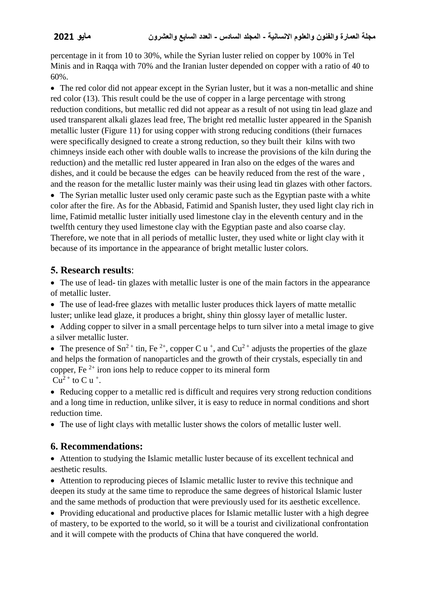percentage in it from 10 to 30%, while the Syrian luster relied on copper by 100% in Tel Minis and in Raqqa with 70% and the Iranian luster depended on copper with a ratio of 40 to 60%.

• The red color did not appear except in the Syrian luster, but it was a non-metallic and shine red color (13). This result could be the use of copper in a large percentage with strong reduction conditions, but metallic red did not appear as a result of not using tin lead glaze and used transparent alkali glazes lead free, The bright red metallic luster appeared in the Spanish metallic luster (Figure 11) for using copper with strong reducing conditions (their furnaces were specifically designed to create a strong reduction, so they built their kilns with two chimneys inside each other with double walls to increase the provisions of the kiln during the reduction) and the metallic red luster appeared in Iran also on the edges of the wares and dishes, and it could be because the edges can be heavily reduced from the rest of the ware , and the reason for the metallic luster mainly was their using lead tin glazes with other factors.

 The Syrian metallic luster used only ceramic paste such as the Egyptian paste with a white color after the fire. As for the Abbasid, Fatimid and Spanish luster, they used light clay rich in lime, Fatimid metallic luster initially used limestone clay in the eleventh century and in the twelfth century they used limestone clay with the Egyptian paste and also coarse clay. Therefore, we note that in all periods of metallic luster, they used white or light clay with it because of its importance in the appearance of bright metallic luster colors.

#### **5. Research results**:

• The use of lead- tin glazes with metallic luster is one of the main factors in the appearance of metallic luster.

• The use of lead-free glazes with metallic luster produces thick layers of matte metallic luster; unlike lead glaze, it produces a bright, shiny thin glossy layer of metallic luster.

• Adding copper to silver in a small percentage helps to turn silver into a metal image to give a silver metallic luster.

• The presence of Sn<sup>2+</sup> tin, Fe<sup>2+</sup>, copper C u<sup>+</sup>, and Cu<sup>2+</sup> adjusts the properties of the glaze and helps the formation of nanoparticles and the growth of their crystals, especially tin and copper, Fe<sup> $2+$ </sup> iron ions help to reduce copper to its mineral form  $Cu^{2}$  + to C u <sup>+</sup>.

• Reducing copper to a metallic red is difficult and requires very strong reduction conditions and a long time in reduction, unlike silver, it is easy to reduce in normal conditions and short reduction time.

The use of light clays with metallic luster shows the colors of metallic luster well.

## **6. Recommendations:**

 Attention to studying the Islamic metallic luster because of its excellent technical and aesthetic results.

 Attention to reproducing pieces of Islamic metallic luster to revive this technique and deepen its study at the same time to reproduce the same degrees of historical Islamic luster and the same methods of production that were previously used for its aesthetic excellence.

 Providing educational and productive places for Islamic metallic luster with a high degree of mastery, to be exported to the world, so it will be a tourist and civilizational confrontation and it will compete with the products of China that have conquered the world.